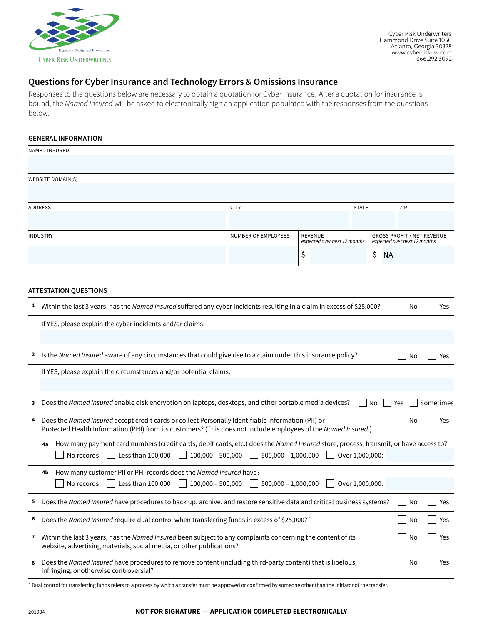

## **Questions for Cyber Insurance and Technology Errors & Omissions Insurance**

Responses to the questions below are necessary to obtain a quotation for Cyber insurance. After a quotation for insurance is bound, the *Named Insured* will be asked to electronically sign an application populated with the responses from the questions below.

## **GENERAL INFORMATION**

| NAMED INSURED |                                                                                                                                                                                                                            |                                                                                                                                                   |                                                |                 |                                                                   |    |     |  |
|---------------|----------------------------------------------------------------------------------------------------------------------------------------------------------------------------------------------------------------------------|---------------------------------------------------------------------------------------------------------------------------------------------------|------------------------------------------------|-----------------|-------------------------------------------------------------------|----|-----|--|
|               |                                                                                                                                                                                                                            |                                                                                                                                                   |                                                |                 |                                                                   |    |     |  |
|               | <b>WEBSITE DOMAIN(S)</b>                                                                                                                                                                                                   |                                                                                                                                                   |                                                |                 |                                                                   |    |     |  |
|               |                                                                                                                                                                                                                            |                                                                                                                                                   |                                                |                 |                                                                   |    |     |  |
| ADDRESS       |                                                                                                                                                                                                                            | <b>CITY</b>                                                                                                                                       |                                                | <b>STATE</b>    | ZIP                                                               |    |     |  |
|               |                                                                                                                                                                                                                            |                                                                                                                                                   |                                                |                 |                                                                   |    |     |  |
| INDUSTRY      |                                                                                                                                                                                                                            | NUMBER OF EMPLOYEES                                                                                                                               | <b>REVENUE</b><br>expected over next 12 months |                 | <b>GROSS PROFIT / NET REVENUE</b><br>expected over next 12 months |    |     |  |
|               |                                                                                                                                                                                                                            |                                                                                                                                                   | \$                                             | Ŝ.              | <b>NA</b>                                                         |    |     |  |
|               |                                                                                                                                                                                                                            |                                                                                                                                                   |                                                |                 |                                                                   |    |     |  |
|               | <b>ATTESTATION QUESTIONS</b>                                                                                                                                                                                               |                                                                                                                                                   |                                                |                 |                                                                   |    |     |  |
|               |                                                                                                                                                                                                                            | <sup>1</sup> Within the last 3 years, has the Named Insured suffered any cyber incidents resulting in a claim in excess of \$25,000?<br>No<br>Yes |                                                |                 |                                                                   |    |     |  |
|               | If YES, please explain the cyber incidents and/or claims.                                                                                                                                                                  |                                                                                                                                                   |                                                |                 |                                                                   |    |     |  |
|               |                                                                                                                                                                                                                            |                                                                                                                                                   |                                                |                 |                                                                   |    |     |  |
| $\mathbf{z}$  | Is the Named Insured aware of any circumstances that could give rise to a claim under this insurance policy?<br>No<br>Yes                                                                                                  |                                                                                                                                                   |                                                |                 |                                                                   |    |     |  |
|               | If YES, please explain the circumstances and/or potential claims.                                                                                                                                                          |                                                                                                                                                   |                                                |                 |                                                                   |    |     |  |
|               |                                                                                                                                                                                                                            |                                                                                                                                                   |                                                |                 |                                                                   |    |     |  |
| 3             | Does the Named Insured enable disk encryption on laptops, desktops, and other portable media devices?<br>Sometimes<br>No<br>Yes                                                                                            |                                                                                                                                                   |                                                |                 |                                                                   |    |     |  |
| 4             | Does the Named Insured accept credit cards or collect Personally Identifiable Information (PII) or<br>No<br>Protected Health Information (PHI) from its customers? (This does not include employees of the Named Insured.) |                                                                                                                                                   |                                                |                 |                                                                   |    | Yes |  |
|               | How many payment card numbers (credit cards, debit cards, etc.) does the Named Insured store, process, transmit, or have access to?<br>4a                                                                                  |                                                                                                                                                   |                                                |                 |                                                                   |    |     |  |
|               | Less than 100,000<br>$100,000 - 500,000$<br>$500,000 - 1,000,000$<br>No records<br>Over 1,000,000:                                                                                                                         |                                                                                                                                                   |                                                |                 |                                                                   |    |     |  |
|               | How many customer PII or PHI records does the Named Insured have?<br>4b                                                                                                                                                    |                                                                                                                                                   |                                                |                 |                                                                   |    |     |  |
|               | Less than 100,000<br>$100,000 - 500,000$<br>No records                                                                                                                                                                     | $500,000 - 1,000,000$                                                                                                                             |                                                | Over 1,000,000: |                                                                   |    |     |  |
| 5             | Does the Named Insured have procedures to back up, archive, and restore sensitive data and critical business systems?                                                                                                      |                                                                                                                                                   |                                                |                 |                                                                   | No | Yes |  |
| 6             | Does the Named Insured require dual control when transferring funds in excess of \$25,000? *                                                                                                                               |                                                                                                                                                   |                                                |                 |                                                                   | No | Yes |  |
| $\mathbf{7}$  | Within the last 3 years, has the Named Insured been subject to any complaints concerning the content of its<br>website, advertising materials, social media, or other publications?                                        |                                                                                                                                                   |                                                |                 |                                                                   | No | Yes |  |
| 8             | Does the Named Insured have procedures to remove content (including third-party content) that is libelous,<br>infringing, or otherwise controversial?                                                                      |                                                                                                                                                   |                                                |                 |                                                                   | No | Yes |  |

\* Dual control for transferring funds refers to a process by which a transfer must be approved or confirmed by someone other than the initiator of the transfer.